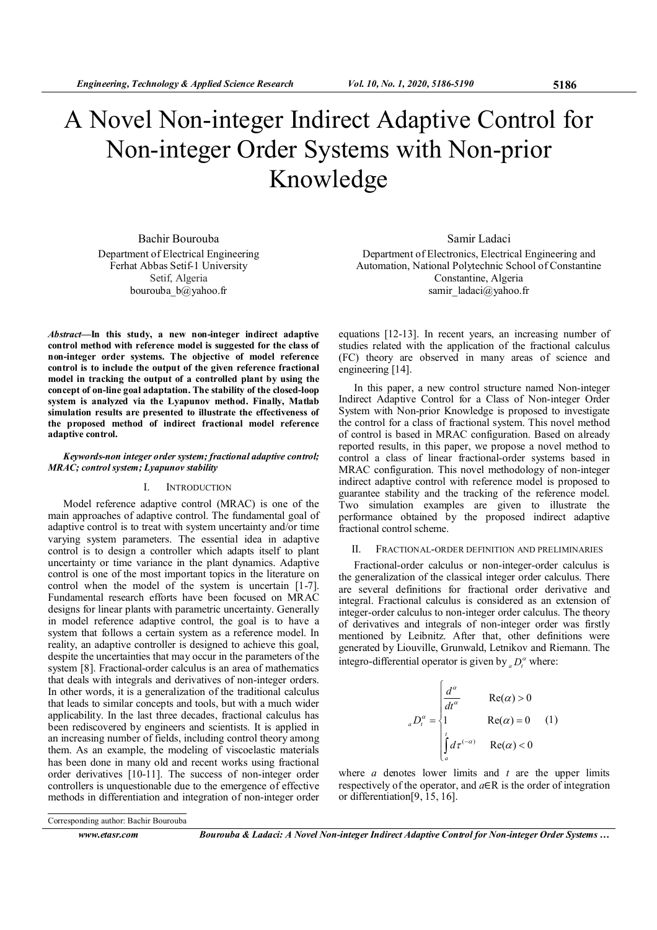# A Novel Non-integer Indirect Adaptive Control for Non-integer Order Systems with Non-prior Knowledge

Bachir Bourouba Department of Electrical Engineering Ferhat Abbas Setif-1 University Setif, Algeria bourouba\_b@yahoo.fr

Abstract—In this study, a new non-integer indirect adaptive control method with reference model is suggested for the class of non-integer order systems. The objective of model reference control is to include the output of the given reference fractional model in tracking the output of a controlled plant by using the concept of on-line goal adaptation. The stability of the closed-loop system is analyzed via the Lyapunov method. Finally, Matlab simulation results are presented to illustrate the effectiveness of the proposed method of indirect fractional model reference adaptive control.

## Keywords-non integer order system; fractional adaptive control; MRAC; control system; Lyapunov stability

## I. INTRODUCTION

Model reference adaptive control (MRAC) is one of the main approaches of adaptive control. The fundamental goal of adaptive control is to treat with system uncertainty and/or time varying system parameters. The essential idea in adaptive control is to design a controller which adapts itself to plant uncertainty or time variance in the plant dynamics. Adaptive control is one of the most important topics in the literature on control when the model of the system is uncertain [1-7]. Fundamental research efforts have been focused on MRAC designs for linear plants with parametric uncertainty. Generally in model reference adaptive control, the goal is to have a system that follows a certain system as a reference model. In reality, an adaptive controller is designed to achieve this goal, despite the uncertainties that may occur in the parameters of the system [8]. Fractional-order calculus is an area of mathematics that deals with integrals and derivatives of non-integer orders. In other words, it is a generalization of the traditional calculus that leads to similar concepts and tools, but with a much wider applicability. In the last three decades, fractional calculus has been rediscovered by engineers and scientists. It is applied in an increasing number of fields, including control theory among them. As an example, the modeling of viscoelastic materials has been done in many old and recent works using fractional order derivatives [10-11]. The success of non-integer order controllers is unquestionable due to the emergence of effective methods in differentiation and integration of non-integer order

Samir Ladaci Department of Electronics, Electrical Engineering and Automation, National Polytechnic School of Constantine Constantine, Algeria samir\_ladaci@yahoo.fr

equations [12-13]. In recent years, an increasing number of studies related with the application of the fractional calculus (FC) theory are observed in many areas of science and engineering [14].

In this paper, a new control structure named Non-integer Indirect Adaptive Control for a Class of Non-integer Order System with Non-prior Knowledge is proposed to investigate the control for a class of fractional system. This novel method of control is based in MRAC configuration. Based on already reported results, in this paper, we propose a novel method to control a class of linear fractional-order systems based in MRAC configuration. This novel methodology of non-integer indirect adaptive control with reference model is proposed to guarantee stability and the tracking of the reference model. Two simulation examples are given to illustrate the performance obtained by the proposed indirect adaptive fractional control scheme.

## II. FRACTIONAL-ORDER DEFINITION AND PRELIMINARIES

Fractional-order calculus or non-integer-order calculus is the generalization of the classical integer order calculus. There are several definitions for fractional order derivative and integral. Fractional calculus is considered as an extension of integer-order calculus to non-integer order calculus. The theory of derivatives and integrals of non-integer order was firstly mentioned by Leibnitz. After that, other definitions were generated by Liouville, Grunwald, Letnikov and Riemann. The integro-differential operator is given by  ${_aD_t^{\alpha}}$  where:

$$
{}_{a}D_{t}^{\alpha} = \begin{cases} \frac{d^{\alpha}}{dt^{\alpha}} & \text{Re}(\alpha) > 0\\ 1 & \text{Re}(\alpha) = 0\\ \int_{a}^{t} d\tau^{(-\alpha)} & \text{Re}(\alpha) < 0 \end{cases} (1)
$$

where  $a$  denotes lower limits and  $t$  are the upper limits respectively of the operator, and  $a \in R$  is the order of integration or differentiation[9, 15, 16].

www.etasr.com Bourouba & Ladaci: A Novel Non-integer Indirect Adaptive Control for Non-integer Order Systems …

Corresponding author: Bachir Bourouba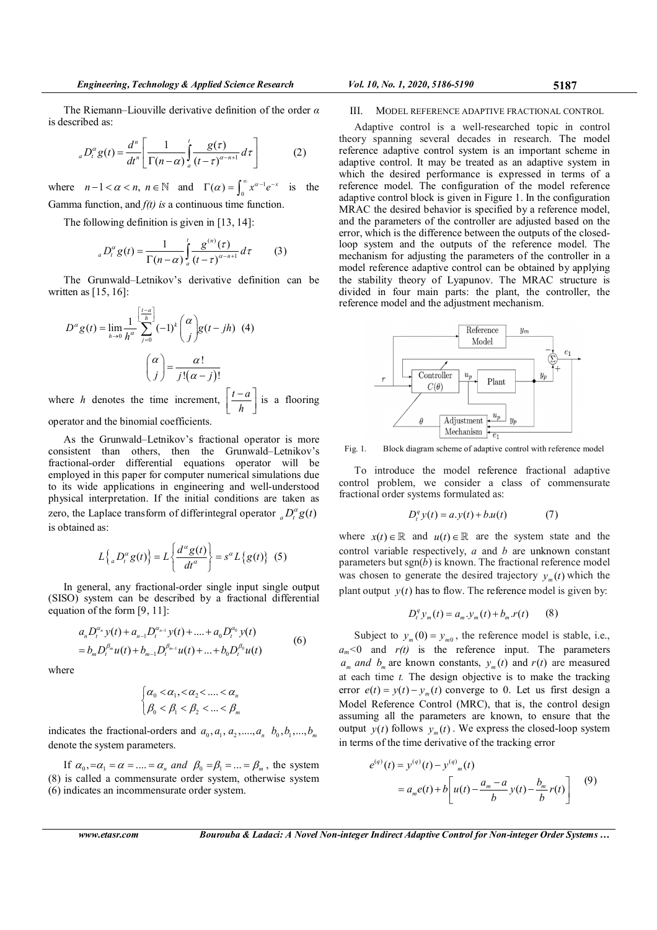The Riemann–Liouville derivative definition of the order  $\alpha$ is described as:

$$
{}_{a}D_{t}^{\alpha}g(t) = \frac{d^{n}}{dt^{n}} \left[ \frac{1}{\Gamma(n-\alpha)} \int_{a}^{t} \frac{g(\tau)}{(t-\tau)^{\alpha-n+1}} d\tau \right]
$$
(2)

where  $n-1 < \alpha < n$ ,  $n \in \mathbb{N}$  and  $\Gamma(\alpha) = \int_0^\infty x^{\alpha-1} e^{-x}$  is the Gamma function, and  $f(t)$  is a continuous time function.

The following definition is given in [13, 14]:

$$
{}_{a}D_{t}^{\alpha}g(t) = \frac{1}{\Gamma(n-\alpha)}\int_{a}^{t}\frac{g^{(n)}(\tau)}{(t-\tau)^{\alpha-n+1}}d\tau
$$
 (3)

The Grunwald–Letnikov's derivative definition can be written as  $[15, 16]$ :

$$
D^{\alpha} g(t) = \lim_{h \to 0} \frac{1}{h^{\alpha}} \sum_{j=0}^{\left[\frac{t-a}{h}\right]} (-1)^{k} {\binom{\alpha}{j}} g(t - jh)
$$
 (4)  

$$
{\binom{\alpha}{j}} = \frac{\alpha!}{j!(\alpha - j)!}
$$
  
where *h* denotes the time increment,  $\left[\frac{t-a}{h}\right]$  is a flooring

operator and the binomial coefficients.

As the Grunwald–Letnikov's fractional operator is more consistent than others, then the Grunwald–Letnikov's fractional-order differential equations operator will be employed in this paper for computer numerical simulations due to its wide applications in engineering and well-understood physical interpretation. If the initial conditions are taken as zero, the Laplace transform of differintegral operator  ${}_{a}D_{t}^{\alpha}g(t)$ is obtained as:

$$
L\left\{ {}_{a}D_{t}^{\alpha}g(t)\right\} = L\left\{ \frac{d^{\alpha}g(t)}{dt^{\alpha}}\right\} = s^{\alpha}L\left\{ g(t)\right\} (5)
$$

In general, any fractional-order single input single output (SISO) system can be described by a fractional differential equation of the form [9, 11]:

$$
a_n D_t^{a_n} y(t) + a_{n-1} D_t^{a_{n-1}} y(t) + \dots + a_0 D_t^{a_0} y(t)
$$
  
=  $b_m D_t^{\beta_m} u(t) + b_{m-1} D_t^{\beta_{m-1}} u(t) + \dots + b_0 D_t^{\beta_0} u(t)$  (6)

where

$$
\begin{cases} \alpha_0 < \alpha_1, < \alpha_2 < \dots < \alpha_n \\ \beta_0 < \beta_1 < \beta_2 < \dots < \beta_m \end{cases}
$$

indicates the fractional-orders and  $a_0, a_1, a_2, ..., a_n$   $b_0, b_1, ..., b_m$ denote the system parameters.

If  $\alpha_0$ ,  $=\alpha_1 = \alpha = \dots = \alpha_n$  and  $\beta_0 = \beta_1 = \dots = \beta_m$ , the system (8) is called a commensurate order system, otherwise system (6) indicates an incommensurate order system.

$$
Vol. 10, No. 1, 2020, 5186-5190
$$

#### III. MODEL REFERENCE ADAPTIVE FRACTIONAL CONTROL

Adaptive control is a well-researched topic in control theory spanning several decades in research. The model reference adaptive control system is an important scheme in adaptive control. It may be treated as an adaptive system in which the desired performance is expressed in terms of a reference model. The configuration of the model reference adaptive control block is given in Figure 1. In the configuration MRAC the desired behavior is specified by a reference model, and the parameters of the controller are adjusted based on the error, which is the difference between the outputs of the closedloop system and the outputs of the reference model. The mechanism for adjusting the parameters of the controller in a model reference adaptive control can be obtained by applying the stability theory of Lyapunov. The MRAC structure is divided in four main parts: the plant, the controller, the reference model and the adjustment mechanism.



Fig. 1. Block diagram scheme of adaptive control with reference model

To introduce the model reference fractional adaptive control problem, we consider a class of commensurate fractional order systems formulated as:

$$
D_t^q y(t) = a.y(t) + b.u(t) \tag{7}
$$

where  $x(t) \in \mathbb{R}$  and  $u(t) \in \mathbb{R}$  are the system state and the control variable respectively,  $a$  and  $b$  are unknown constant parameters but sgn( $\overline{b}$ ) is known. The fractional reference model was chosen to generate the desired trajectory  $y_m(t)$  which the plant output  $y(t)$  has to flow. The reference model is given by:

$$
D_t^q y_m(t) = a_m y_m(t) + b_m r(t) \qquad (8)
$$

Subject to  $y_m(0) = y_{m0}$ , the reference model is stable, i.e.,  $a_m < 0$  and  $r(t)$  is the reference input. The parameters  $a_m$  and  $b_m$  are known constants,  $y_m(t)$  and  $r(t)$  are measured at each time  $t$ . The design objective is to make the tracking error  $e(t) = y(t) - y_m(t)$  converge to 0. Let us first design a Model Reference Control (MRC), that is, the control design assuming all the parameters are known, to ensure that the output  $y(t)$  follows  $y_m(t)$ . We express the closed-loop system in terms of the time derivative of the tracking error

$$
e^{(q)}(t) = y^{(q)}(t) - y^{(q)}_{m}(t)
$$
  
=  $a_{m}e(t) + b\left[u(t) - \frac{a_{m} - a}{b}y(t) - \frac{b_{m}}{b}r(t)\right]$  (9)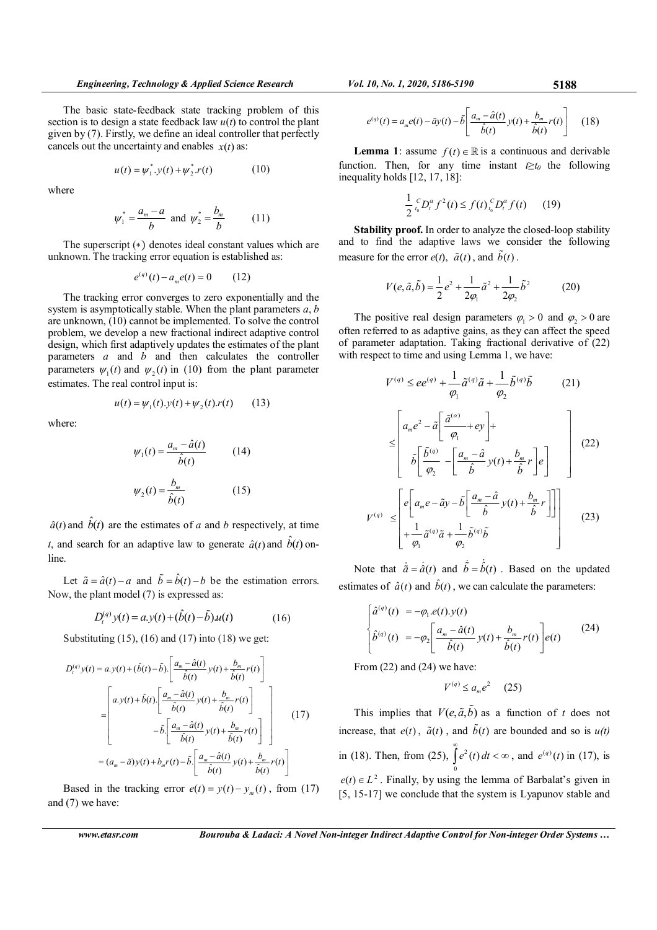The basic state-feedback state tracking problem of this section is to design a state feedback law  $u(t)$  to control the plant given by (7). Firstly, we define an ideal controller that perfectly cancels out the uncertainty and enables  $x(t)$  as:

$$
u(t) = \psi_1^* \cdot y(t) + \psi_2^* \cdot r(t) \tag{10}
$$

where

$$
\psi_1^* = \frac{a_m - a}{b}
$$
 and  $\psi_2^* = \frac{b_m}{b}$  (11)

The superscript (\*) denotes ideal constant values which are unknown. The tracking error equation is established as:

$$
e^{(q)}(t) - a_m e(t) = 0 \qquad (12)
$$

The tracking error converges to zero exponentially and the system is asymptotically stable. When the plant parameters  $a, b$ are unknown, (10) cannot be implemented. To solve the control problem, we develop a new fractional indirect adaptive control design, which first adaptively updates the estimates of the plant parameters  $a$  and  $\overrightarrow{b}$  and then calculates the controller parameters  $\psi_1(t)$  and  $\psi_2(t)$  in (10) from the plant parameter estimates. The real control input is:

where:

$$
\psi_1(t) = \frac{a_m - \hat{a}(t)}{\hat{b}(t)} \tag{14}
$$

 $u(t) = \psi_1(t) \cdot y(t) + \psi_2(t) \cdot r(t)$  (13)

$$
\psi_2(t) = \frac{b_m}{\hat{b}(t)}\tag{15}
$$

 $\hat{a}(t)$  and  $\hat{b}(t)$  are the estimates of a and b respectively, at time t, and search for an adaptive law to generate  $\hat{a}(t)$  and  $\hat{b}(t)$  online.

Let  $\tilde{a} = \hat{a}(t) - a$  and  $\tilde{b} = \hat{b}(t) - b$  be the estimation errors. Now, the plant model (7) is expressed as:

$$
D_t^{(q)} y(t) = a y(t) + (\hat{b}(t) - \tilde{b}) u(t)
$$
 (16)

Substituting (15), (16) and (17) into (18) we get:

$$
D_t^{(q)}y(t) = a.y(t) + (\hat{b}(t) - \tilde{b}) \cdot \left[ \frac{a_m - \hat{a}(t)}{\hat{b}(t)} y(t) + \frac{b_m}{\hat{b}(t)} r(t) \right]
$$
  
\n
$$
= \left[ a.y(t) + \hat{b}(t) \cdot \left[ \frac{a_m - \hat{a}(t)}{\hat{b}(t)} y(t) + \frac{b_m}{\hat{b}(t)} r(t) \right] - \tilde{b} \cdot \left[ \frac{a_m - \hat{a}(t)}{\hat{b}(t)} y(t) + \frac{b_m}{\hat{b}(t)} r(t) \right] \right]
$$
(17)  
\n
$$
= (a_m - \tilde{a})y(t) + b_m r(t) - \tilde{b} \cdot \left[ \frac{a_m - \hat{a}(t)}{\hat{b}(t)} y(t) + \frac{b_m}{\hat{b}(t)} r(t) \right]
$$

Based in the tracking error  $e(t) = y(t) - y_m(t)$ , from (17) and (7) we have:

$$
e^{(q)}(t) = a_m e(t) - \tilde{a}y(t) - \tilde{b} \left[ \frac{a_m - \hat{a}(t)}{\hat{b}(t)} y(t) + \frac{b_m}{\hat{b}(t)} r(t) \right] \quad (18)
$$

**Lemma 1**: assume  $f(t) \in \mathbb{R}$  is a continuous and derivable function. Then, for any time instant  $t \geq t_0$  the following inequality holds [12, 17, 18]:

$$
\frac{1}{2} \int_{t_0}^{c} D_t^{\alpha} f^2(t) \le f(t) \int_{t_0}^{c} D_t^{\alpha} f(t) \qquad (19)
$$

Stability proof. In order to analyze the closed-loop stability and to find the adaptive laws we consider the following measure for the error  $e(t)$ ,  $\tilde{a}(t)$ , and  $\tilde{b}(t)$ .

$$
V(e, \tilde{a}, \tilde{b}) = \frac{1}{2}e^{2} + \frac{1}{2\varphi_{1}}\tilde{a}^{2} + \frac{1}{2\varphi_{2}}\tilde{b}^{2}
$$
 (20)

The positive real design parameters  $\varphi_1 > 0$  and  $\varphi_2 > 0$  are often referred to as adaptive gains, as they can affect the speed of parameter adaptation. Taking fractional derivative of (22) with respect to time and using Lemma 1, we have:

$$
V^{(q)} \leq ee^{(q)} + \frac{1}{\varphi_1} \tilde{a}^{(q)} \tilde{a} + \frac{1}{\varphi_2} \tilde{b}^{(q)} \tilde{b}
$$
(21)  

$$
\leq \left[ a_m e^2 - \tilde{a} \left[ \frac{\tilde{a}^{(a)}}{\varphi_1} + ey \right] + \tilde{b} \left[ \frac{\tilde{b}^{(q)}}{\varphi_2} - \left[ \frac{a_m - \hat{a}}{\hat{b}} y(t) + \frac{b_m}{\hat{b}} r \right] e \right] \right]
$$
(22)  

$$
V^{(q)} \leq \left[ e \left[ a_m e - \tilde{a} y - \tilde{b} \left[ \frac{a_m - \hat{a}}{\hat{b}} y(t) + \frac{b_m}{\hat{b}} r \right] \right] + \frac{1}{\varphi_1} \tilde{a}^{(q)} \tilde{a} + \frac{1}{\varphi_2} \tilde{b}^{(q)} \tilde{b} \right]
$$
(23)

Note that  $\dot{\tilde{a}} = \dot{\tilde{a}}(t)$  and  $\dot{\tilde{b}} = \dot{\tilde{b}}(t)$ . Based on the updated estimates of  $\hat{a}(t)$  and  $\hat{b}(t)$ , we can calculate the parameters:

$$
\begin{cases}\n\hat{a}^{(q)}(t) = -\varphi_1 . e(t) . y(t) \\
\hat{b}^{(q)}(t) = -\varphi_2 \left[ \frac{a_m - \hat{a}(t)}{\hat{b}(t)} y(t) + \frac{b_m}{\hat{b}(t)} r(t) \right] e(t)\n\end{cases}
$$
\n(24)

From (22) and (24) we have:

$$
V^{(q)} \le a_m e^2 \qquad (25)
$$

This implies that  $V(e, \tilde{a}, \tilde{b})$  as a function of t does not increase, that  $e(t)$ ,  $\tilde{a}(t)$ , and  $\tilde{b}(t)$  are bounded and so is  $u(t)$ in (18). Then, from (25),  $\int e^2$ 0  $e^2(t) dt$  $\int_{0}^{\infty} e^{2}(t) dt < \infty$ , and  $e^{(q)}(t)$  in (17), is  $e(t) \in L^2$ . Finally, by using the lemma of Barbalat's given in [5, 15-17] we conclude that the system is Lyapunov stable and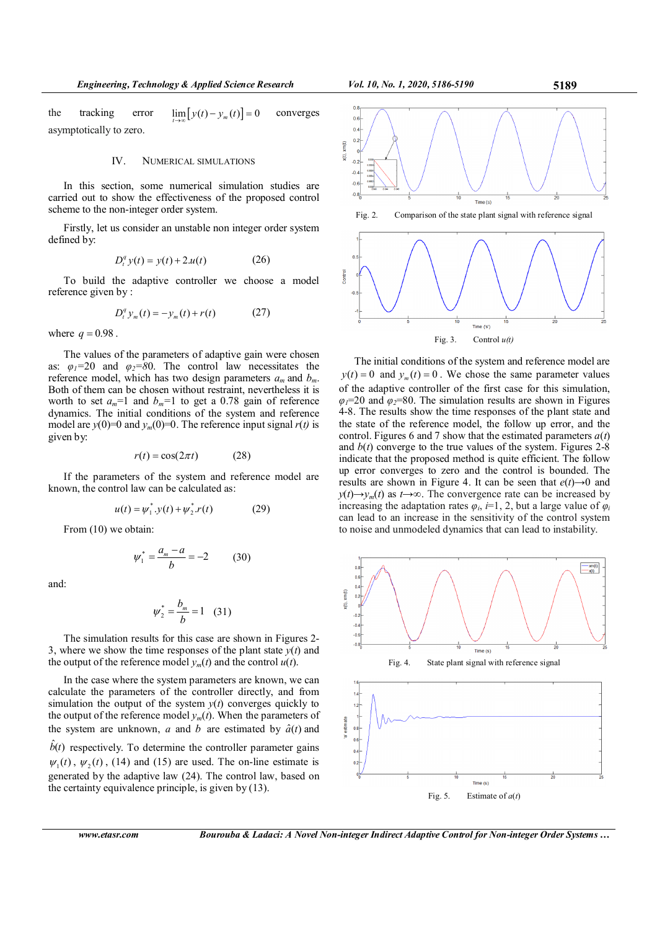the tracking error  $\lim_{t \to \infty} [y(t) - y_m(t)] = 0$  converges asymptotically to zero.

#### IV. NUMERICAL SIMULATIONS

In this section, some numerical simulation studies are carried out to show the effectiveness of the proposed control scheme to the non-integer order system.

Firstly, let us consider an unstable non integer order system defined by:

$$
D_t^q y(t) = y(t) + 2u(t)
$$
 (26)

To build the adaptive controller we choose a model reference given by :

$$
D_t^q y_m(t) = -y_m(t) + r(t)
$$
 (27)

where  $q = 0.98$ .

The values of the parameters of adaptive gain were chosen as:  $\varphi_1 = 20$  and  $\varphi_2 = 80$ . The control law necessitates the reference model, which has two design parameters  $a_m$  and  $b_m$ . Both of them can be chosen without restraint, nevertheless it is worth to set  $a_m=1$  and  $b_m=1$  to get a 0.78 gain of reference dynamics. The initial conditions of the system and reference model are  $y(0)=0$  and  $y_m(0)=0$ . The reference input signal  $r(t)$  is given by:

$$
r(t) = \cos(2\pi t) \tag{28}
$$

If the parameters of the system and reference model are known, the control law can be calculated as:

$$
u(t) = \psi_1^* \cdot y(t) + \psi_2^* \cdot r(t) \tag{29}
$$

From (10) we obtain:

$$
\psi_1^* = \frac{a_m - a}{b} = -2 \tag{30}
$$

and:

$$
\psi_2^* = \frac{b_m}{b} = 1 \quad (31)
$$

The simulation results for this case are shown in Figures 2- 3, where we show the time responses of the plant state  $y(t)$  and the output of the reference model  $y_m(t)$  and the control  $u(t)$ .

In the case where the system parameters are known, we can calculate the parameters of the controller directly, and from simulation the output of the system  $y(t)$  converges quickly to the output of the reference model  $y_m(t)$ . When the parameters of the system are unknown, a and b are estimated by  $\hat{a}(t)$  and  $b(t)$  respectively. To determine the controller parameter gains  $\psi_1(t)$ ,  $\psi_2(t)$ , (14) and (15) are used. The on-line estimate is generated by the adaptive law (24). The control law, based on the certainty equivalence principle, is given by  $(13)$ .

 $0.6$  $\epsilon$ 



The initial conditions of the system and reference model are  $y(t) = 0$  and  $y_m(t) = 0$ . We chose the same parameter values of the adaptive controller of the first case for this simulation,  $\varphi_1$ =20 and  $\varphi_2$ =80. The simulation results are shown in Figures 4-8. The results show the time responses of the plant state and the state of the reference model, the follow up error, and the control. Figures 6 and 7 show that the estimated parameters  $a(t)$ and  $b(t)$  converge to the true values of the system. Figures 2-8 indicate that the proposed method is quite efficient. The follow up error converges to zero and the control is bounded. The results are shown in Figure 4. It can be seen that  $e(t) \rightarrow 0$  and  $y(t) \rightarrow y_m(t)$  as  $t \rightarrow \infty$ . The convergence rate can be increased by increasing the adaptation rates  $\varphi_i$ , *i*=1, 2, but a large value of  $\varphi_i$ can lead to an increase in the sensitivity of the control system to noise and unmodeled dynamics that can lead to instability.